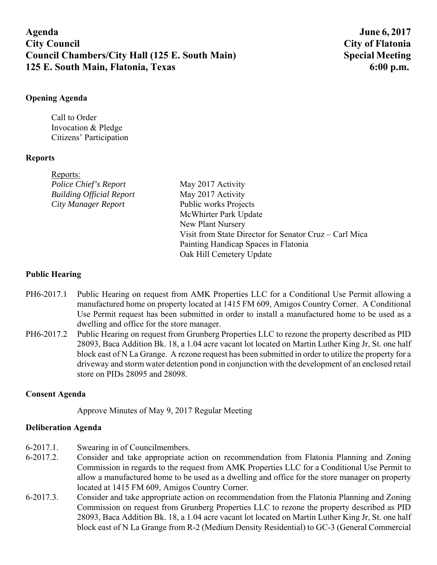# **Agenda June 6, 2017 City Council City of Flatonia**  Council Chambers/City Hall (125 E. South Main) Special Meeting **125 E. South Main, Flatonia, Texas 6:00 p.m. 6:00 p.m.**

### **Opening Agenda**

Call to Order Invocation & Pledge Citizens' Participation

## **Reports**

| Reports:                        |                                                        |
|---------------------------------|--------------------------------------------------------|
| Police Chief's Report           | May 2017 Activity                                      |
| <b>Building Official Report</b> | May 2017 Activity                                      |
| City Manager Report             | Public works Projects                                  |
|                                 | McWhirter Park Update                                  |
|                                 | New Plant Nursery                                      |
|                                 | Visit from State Director for Senator Cruz – Carl Mica |
|                                 | Painting Handicap Spaces in Flatonia                   |
|                                 | Oak Hill Cemetery Update                               |
|                                 |                                                        |

## **Public Hearing**

- PH6-2017.1 Public Hearing on request from AMK Properties LLC for a Conditional Use Permit allowing a manufactured home on property located at 1415 FM 609, Amigos Country Corner. A Conditional Use Permit request has been submitted in order to install a manufactured home to be used as a dwelling and office for the store manager.
- PH6-2017.2 Public Hearing on request from Grunberg Properties LLC to rezone the property described as PID 28093, Baca Addition Bk. 18, a 1.04 acre vacant lot located on Martin Luther King Jr, St. one half block east of N La Grange. A rezone request has been submitted in order to utilize the property for a driveway and storm water detention pond in conjunction with the development of an enclosed retail store on PIDs 28095 and 28098.

### **Consent Agenda**

Approve Minutes of May 9, 2017 Regular Meeting

### **Deliberation Agenda**

- 6-2017.1. Swearing in of Councilmembers.
- 6-2017.2. Consider and take appropriate action on recommendation from Flatonia Planning and Zoning Commission in regards to the request from AMK Properties LLC for a Conditional Use Permit to allow a manufactured home to be used as a dwelling and office for the store manager on property located at 1415 FM 609, Amigos Country Corner.
- 6-2017.3. Consider and take appropriate action on recommendation from the Flatonia Planning and Zoning Commission on request from Grunberg Properties LLC to rezone the property described as PID 28093, Baca Addition Bk. 18, a 1.04 acre vacant lot located on Martin Luther King Jr, St. one half block east of N La Grange from R-2 (Medium Density Residential) to GC-3 (General Commercial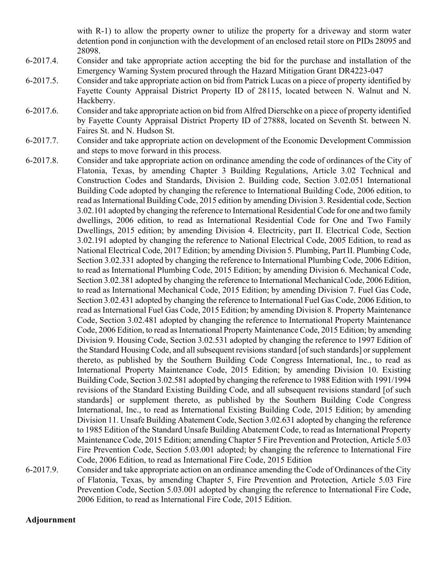with R-1) to allow the property owner to utilize the property for a driveway and storm water detention pond in conjunction with the development of an enclosed retail store on PIDs 28095 and 28098.

- 6-2017.4. Consider and take appropriate action accepting the bid for the purchase and installation of the Emergency Warning System procured through the Hazard Mitigation Grant DR4223-047
- 6-2017.5. Consider and take appropriate action on bid from Patrick Lucas on a piece of property identified by Fayette County Appraisal District Property ID of 28115, located between N. Walnut and N. Hackberry.
- 6-2017.6. Consider and take appropriate action on bid from Alfred Dierschke on a piece of property identified by Fayette County Appraisal District Property ID of 27888, located on Seventh St. between N. Faires St. and N. Hudson St.
- 6-2017.7. Consider and take appropriate action on development of the Economic Development Commission and steps to move forward in this process.
- 6-2017.8. Consider and take appropriate action on ordinance amending the code of ordinances of the City of Flatonia, Texas, by amending Chapter 3 Building Regulations, Article 3.02 Technical and Construction Codes and Standards, Division 2. Building code, Section 3.02.051 International Building Code adopted by changing the reference to International Building Code, 2006 edition, to read as International Building Code, 2015 edition by amending Division 3. Residential code, Section 3.02.101 adopted by changing the reference to International Residential Code for one and two family dwellings, 2006 edition, to read as International Residential Code for One and Two Family Dwellings, 2015 edition; by amending Division 4. Electricity, part II. Electrical Code, Section 3.02.191 adopted by changing the reference to National Electrical Code, 2005 Edition, to read as National Electrical Code, 2017 Edition; by amending Division 5. Plumbing, Part II. Plumbing Code, Section 3.02.331 adopted by changing the reference to International Plumbing Code, 2006 Edition, to read as International Plumbing Code, 2015 Edition; by amending Division 6. Mechanical Code, Section 3.02.381 adopted by changing the reference to International Mechanical Code, 2006 Edition, to read as International Mechanical Code, 2015 Edition; by amending Division 7. Fuel Gas Code, Section 3.02.431 adopted by changing the reference to International Fuel Gas Code, 2006 Edition, to read as International Fuel Gas Code, 2015 Edition; by amending Division 8. Property Maintenance Code, Section 3.02.481 adopted by changing the reference to International Property Maintenance Code, 2006 Edition, to read as International Property Maintenance Code, 2015 Edition; by amending Division 9. Housing Code, Section 3.02.531 adopted by changing the reference to 1997 Edition of the Standard Housing Code, and all subsequent revisions standard [of such standards] or supplement thereto, as published by the Southern Building Code Congress International, Inc., to read as International Property Maintenance Code, 2015 Edition; by amending Division 10. Existing Building Code, Section 3.02.581 adopted by changing the reference to 1988 Edition with 1991/1994 revisions of the Standard Existing Building Code, and all subsequent revisions standard [of such standards] or supplement thereto, as published by the Southern Building Code Congress International, Inc., to read as International Existing Building Code, 2015 Edition; by amending Division 11. Unsafe Building Abatement Code, Section 3.02.631 adopted by changing the reference to 1985 Edition of the Standard Unsafe Building Abatement Code, to read as International Property Maintenance Code, 2015 Edition; amending Chapter 5 Fire Prevention and Protection, Article 5.03 Fire Prevention Code, Section 5.03.001 adopted; by changing the reference to International Fire Code, 2006 Edition, to read as International Fire Code, 2015 Edition

6-2017.9. Consider and take appropriate action on an ordinance amending the Code of Ordinances of the City of Flatonia, Texas, by amending Chapter 5, Fire Prevention and Protection, Article 5.03 Fire Prevention Code, Section 5.03.001 adopted by changing the reference to International Fire Code, 2006 Edition, to read as International Fire Code, 2015 Edition.

#### **Adjournment**